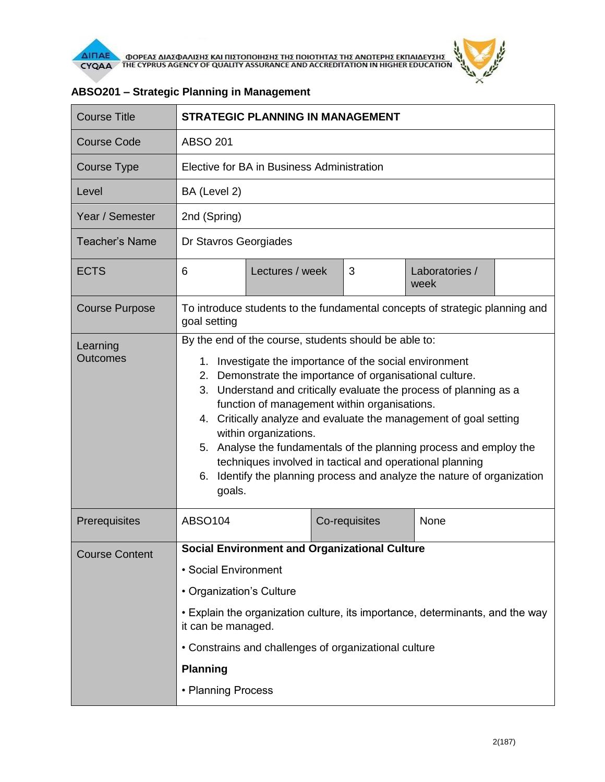

| <b>Course Title</b>         | <b>STRATEGIC PLANNING IN MANAGEMENT</b>                                                                                                                                                                                                                                                                                                                                                                                                                                                                                                                                                                                       |                 |  |               |                        |  |
|-----------------------------|-------------------------------------------------------------------------------------------------------------------------------------------------------------------------------------------------------------------------------------------------------------------------------------------------------------------------------------------------------------------------------------------------------------------------------------------------------------------------------------------------------------------------------------------------------------------------------------------------------------------------------|-----------------|--|---------------|------------------------|--|
| <b>Course Code</b>          | <b>ABSO 201</b>                                                                                                                                                                                                                                                                                                                                                                                                                                                                                                                                                                                                               |                 |  |               |                        |  |
| Course Type                 | Elective for BA in Business Administration                                                                                                                                                                                                                                                                                                                                                                                                                                                                                                                                                                                    |                 |  |               |                        |  |
| Level                       | BA (Level 2)                                                                                                                                                                                                                                                                                                                                                                                                                                                                                                                                                                                                                  |                 |  |               |                        |  |
| Year / Semester             | 2nd (Spring)                                                                                                                                                                                                                                                                                                                                                                                                                                                                                                                                                                                                                  |                 |  |               |                        |  |
| <b>Teacher's Name</b>       | Dr Stavros Georgiades                                                                                                                                                                                                                                                                                                                                                                                                                                                                                                                                                                                                         |                 |  |               |                        |  |
| <b>ECTS</b>                 | 6                                                                                                                                                                                                                                                                                                                                                                                                                                                                                                                                                                                                                             | Lectures / week |  | 3             | Laboratories /<br>week |  |
| <b>Course Purpose</b>       | To introduce students to the fundamental concepts of strategic planning and<br>goal setting                                                                                                                                                                                                                                                                                                                                                                                                                                                                                                                                   |                 |  |               |                        |  |
| Learning<br><b>Outcomes</b> | By the end of the course, students should be able to:<br>Investigate the importance of the social environment<br>1.<br>2. Demonstrate the importance of organisational culture.<br>3. Understand and critically evaluate the process of planning as a<br>function of management within organisations.<br>4. Critically analyze and evaluate the management of goal setting<br>within organizations.<br>5. Analyse the fundamentals of the planning process and employ the<br>techniques involved in tactical and operational planning<br>Identify the planning process and analyze the nature of organization<br>6.<br>goals. |                 |  |               |                        |  |
| Prerequisites               | <b>ABSO104</b>                                                                                                                                                                                                                                                                                                                                                                                                                                                                                                                                                                                                                |                 |  | Co-requisites | None                   |  |
| <b>Course Content</b>       | <b>Social Environment and Organizational Culture</b><br>• Social Environment<br>• Organization's Culture<br>• Explain the organization culture, its importance, determinants, and the way<br>it can be managed.<br>• Constrains and challenges of organizational culture<br><b>Planning</b>                                                                                                                                                                                                                                                                                                                                   |                 |  |               |                        |  |
|                             | • Planning Process                                                                                                                                                                                                                                                                                                                                                                                                                                                                                                                                                                                                            |                 |  |               |                        |  |

## **ABSO201 – Strategic Planning in Management**

 $\theta$